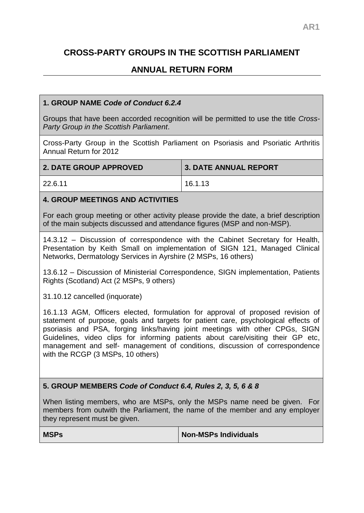# **CROSS-PARTY GROUPS IN THE SCOTTISH PARLIAMENT**

## **ANNUAL RETURN FORM**

### **1. GROUP NAME** *Code of Conduct 6.2.4*

Groups that have been accorded recognition will be permitted to use the title *Cross-Party Group in the Scottish Parliament*.

Cross-Party Group in the Scottish Parliament on Psoriasis and Psoriatic Arthritis Annual Return for 2012

| 2. DATE GROUP APPROVED | 3. DATE ANNUAL REPORT |
|------------------------|-----------------------|
| 22.6.11                | 16.1.13               |

#### **4. GROUP MEETINGS AND ACTIVITIES**

For each group meeting or other activity please provide the date, a brief description of the main subjects discussed and attendance figures (MSP and non-MSP).

14.3.12 – Discussion of correspondence with the Cabinet Secretary for Health, Presentation by Keith Small on implementation of SIGN 121, Managed Clinical Networks, Dermatology Services in Ayrshire (2 MSPs, 16 others)

13.6.12 – Discussion of Ministerial Correspondence, SIGN implementation, Patients Rights (Scotland) Act (2 MSPs, 9 others)

31.10.12 cancelled (inquorate)

16.1.13 AGM, Officers elected, formulation for approval of proposed revision of statement of purpose, goals and targets for patient care, psychological effects of psoriasis and PSA, forging links/having joint meetings with other CPGs, SIGN Guidelines, video clips for informing patients about care/visiting their GP etc, management and self- management of conditions, discussion of correspondence with the RCGP (3 MSPs, 10 others)

#### **5. GROUP MEMBERS** *Code of Conduct 6.4, Rules 2, 3, 5, 6 & 8*

When listing members, who are MSPs, only the MSPs name need be given. For members from outwith the Parliament, the name of the member and any employer they represent must be given.

**MSPs Non-MSPs Individuals**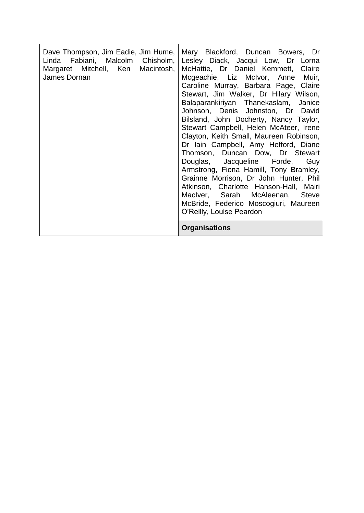| Margaret Mitchell, Ken Macintosh,<br>James Dornan | Dave Thompson, Jim Eadie, Jim Hume,   Mary Blackford, Duncan Bowers, Dr<br>Linda Fabiani, Malcolm Chisholm, Lesley Diack, Jacqui Low, Dr Lorna<br>McHattie, Dr Daniel Kemmett, Claire<br>Mcgeachie, Liz McIvor, Anne Muir,<br>Caroline Murray, Barbara Page, Claire<br>Stewart, Jim Walker, Dr Hilary Wilson,<br>Balaparankiriyan Thanekaslam, Janice<br>Johnson, Denis Johnston, Dr David<br>Bilsland, John Docherty, Nancy Taylor,<br>Stewart Campbell, Helen McAteer, Irene<br>Clayton, Keith Small, Maureen Robinson,<br>Dr Iain Campbell, Amy Hefford, Diane<br>Thomson, Duncan Dow, Dr Stewart<br>Douglas, Jacqueline Forde, Guy<br>Armstrong, Fiona Hamill, Tony Bramley,<br>Grainne Morrison, Dr John Hunter, Phil<br>Atkinson, Charlotte Hanson-Hall, Mairi<br>MacIver, Sarah McAleenan, Steve<br>McBride, Federico Moscogiuri, Maureen<br>O'Reilly, Louise Peardon |
|---------------------------------------------------|------------------------------------------------------------------------------------------------------------------------------------------------------------------------------------------------------------------------------------------------------------------------------------------------------------------------------------------------------------------------------------------------------------------------------------------------------------------------------------------------------------------------------------------------------------------------------------------------------------------------------------------------------------------------------------------------------------------------------------------------------------------------------------------------------------------------------------------------------------------------------|
|                                                   | <b>Organisations</b>                                                                                                                                                                                                                                                                                                                                                                                                                                                                                                                                                                                                                                                                                                                                                                                                                                                         |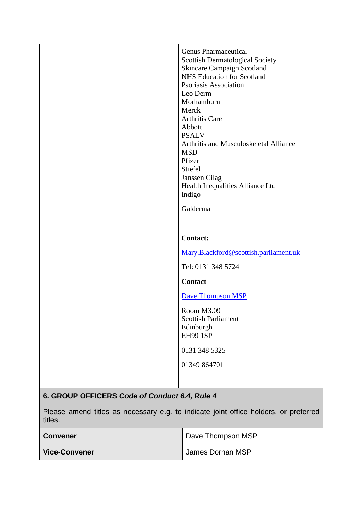|                                               | <b>Genus Pharmaceutical</b><br><b>Scottish Dermatological Society</b><br><b>Skincare Campaign Scotland</b><br>NHS Education for Scotland<br>Psoriasis Association<br>Leo Derm<br>Morhamburn          |
|-----------------------------------------------|------------------------------------------------------------------------------------------------------------------------------------------------------------------------------------------------------|
|                                               | Merck<br><b>Arthritis Care</b><br>Abbott<br><b>PSALV</b><br>Arthritis and Musculoskeletal Alliance<br><b>MSD</b><br>Pfizer<br>Stiefel<br>Janssen Cilag<br>Health Inequalities Alliance Ltd<br>Indigo |
|                                               | Galderma                                                                                                                                                                                             |
|                                               | <b>Contact:</b>                                                                                                                                                                                      |
|                                               | Mary.Blackford@scottish.parliament.uk                                                                                                                                                                |
|                                               | Tel: 0131 348 5724                                                                                                                                                                                   |
|                                               | <b>Contact</b>                                                                                                                                                                                       |
|                                               | <b>Dave Thompson MSP</b>                                                                                                                                                                             |
|                                               | Room M3.09<br><b>Scottish Parliament</b><br>Edinburgh<br><b>EH99 1SP</b>                                                                                                                             |
|                                               | 0131 348 5325                                                                                                                                                                                        |
|                                               | 01349 864701                                                                                                                                                                                         |
|                                               |                                                                                                                                                                                                      |
| 6. GROUP OFFICERS Code of Conduct 6.4, Rule 4 |                                                                                                                                                                                                      |

Please amend titles as necessary e.g. to indicate joint office holders, or preferred titles.

| <b>Convener</b>      | Dave Thompson MSP |
|----------------------|-------------------|
| <b>Vice-Convener</b> | James Dornan MSP  |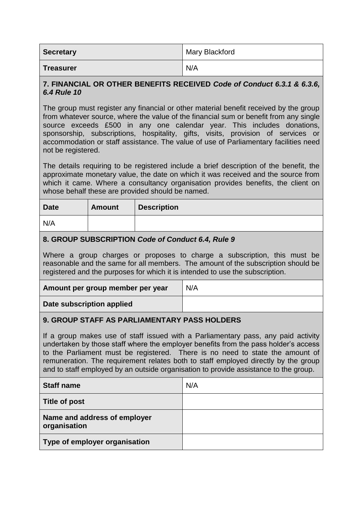| <b>Secretary</b> | Mary Blackford |
|------------------|----------------|
| <b>Treasurer</b> | N/A            |

#### **7. FINANCIAL OR OTHER BENEFITS RECEIVED** *Code of Conduct 6.3.1 & 6.3.6, 6.4 Rule 10*

The group must register any financial or other material benefit received by the group from whatever source, where the value of the financial sum or benefit from any single source exceeds £500 in any one calendar year. This includes donations, sponsorship, subscriptions, hospitality, gifts, visits, provision of services or accommodation or staff assistance. The value of use of Parliamentary facilities need not be registered.

The details requiring to be registered include a brief description of the benefit, the approximate monetary value, the date on which it was received and the source from which it came. Where a consultancy organisation provides benefits, the client on whose behalf these are provided should be named.

| <b>Date</b> | <b>Amount</b> | <b>Description</b> |
|-------------|---------------|--------------------|
| N/A         |               |                    |

#### **8. GROUP SUBSCRIPTION** *Code of Conduct 6.4, Rule 9*

Where a group charges or proposes to charge a subscription, this must be reasonable and the same for all members. The amount of the subscription should be registered and the purposes for which it is intended to use the subscription.

| Amount per group member per year | N/A |
|----------------------------------|-----|
| Date subscription applied        |     |

#### **9. GROUP STAFF AS PARLIAMENTARY PASS HOLDERS**

If a group makes use of staff issued with a Parliamentary pass, any paid activity undertaken by those staff where the employer benefits from the pass holder's access to the Parliament must be registered. There is no need to state the amount of remuneration. The requirement relates both to staff employed directly by the group and to staff employed by an outside organisation to provide assistance to the group.

| <b>Staff name</b>                            | N/A |
|----------------------------------------------|-----|
| <b>Title of post</b>                         |     |
| Name and address of employer<br>organisation |     |
| Type of employer organisation                |     |